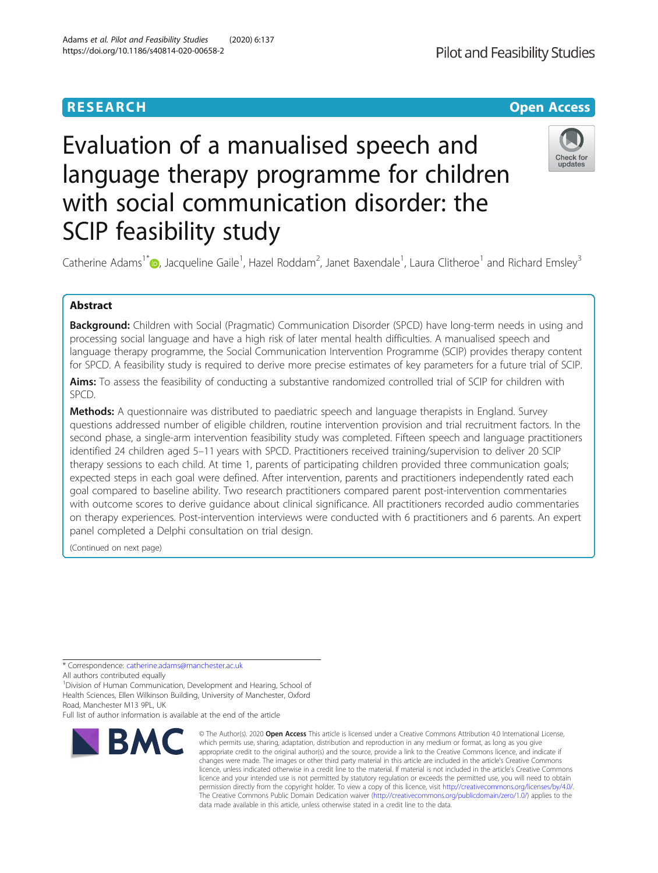# **RESEARCH CHEAR CHEAR CHEAR CHEAR CHEAR CHEAR CHEAR CHEAR CHEAR CHEAR CHEAR CHEAR CHEAR CHEAR CHEAR CHEAR CHEAR**

# Evaluation of a manualised speech and language therapy programme for children with social communication disorder: the SCIP feasibility study



Catherine Adams<sup>1[\\*](http://orcid.org/0000-0003-4413-0803)</sup>®, Jacqueline Gaile<sup>1</sup>, Hazel Roddam<sup>2</sup>, Janet Baxendale<sup>1</sup>, Laura Clitheroe<sup>1</sup> and Richard Emsley<sup>3</sup>

# Abstract

Background: Children with Social (Pragmatic) Communication Disorder (SPCD) have long-term needs in using and processing social language and have a high risk of later mental health difficulties. A manualised speech and language therapy programme, the Social Communication Intervention Programme (SCIP) provides therapy content for SPCD. A feasibility study is required to derive more precise estimates of key parameters for a future trial of SCIP.

Aims: To assess the feasibility of conducting a substantive randomized controlled trial of SCIP for children with SPCD.

**Methods:** A questionnaire was distributed to paediatric speech and language therapists in England. Survey questions addressed number of eligible children, routine intervention provision and trial recruitment factors. In the second phase, a single-arm intervention feasibility study was completed. Fifteen speech and language practitioners identified 24 children aged 5–11 years with SPCD. Practitioners received training/supervision to deliver 20 SCIP therapy sessions to each child. At time 1, parents of participating children provided three communication goals; expected steps in each goal were defined. After intervention, parents and practitioners independently rated each goal compared to baseline ability. Two research practitioners compared parent post-intervention commentaries with outcome scores to derive guidance about clinical significance. All practitioners recorded audio commentaries on therapy experiences. Post-intervention interviews were conducted with 6 practitioners and 6 parents. An expert panel completed a Delphi consultation on trial design.

(Continued on next page)

\* Correspondence: [catherine.adams@manchester.ac.uk](mailto:catherine.adams@manchester.ac.uk)

All authors contributed equally

<sup>1</sup>Division of Human Communication, Development and Hearing, School of Health Sciences, Ellen Wilkinson Building, University of Manchester, Oxford Road, Manchester M13 9PL, UK

Full list of author information is available at the end of the article



© The Author(s), 2020 **Open Access** This article is licensed under a Creative Commons Attribution 4.0 International License, which permits use, sharing, adaptation, distribution and reproduction in any medium or format, as long as you give appropriate credit to the original author(s) and the source, provide a link to the Creative Commons licence, and indicate if changes were made. The images or other third party material in this article are included in the article's Creative Commons licence, unless indicated otherwise in a credit line to the material. If material is not included in the article's Creative Commons licence and your intended use is not permitted by statutory regulation or exceeds the permitted use, you will need to obtain permission directly from the copyright holder. To view a copy of this licence, visit [http://creativecommons.org/licenses/by/4.0/.](http://creativecommons.org/licenses/by/4.0/) The Creative Commons Public Domain Dedication waiver [\(http://creativecommons.org/publicdomain/zero/1.0/](http://creativecommons.org/publicdomain/zero/1.0/)) applies to the data made available in this article, unless otherwise stated in a credit line to the data.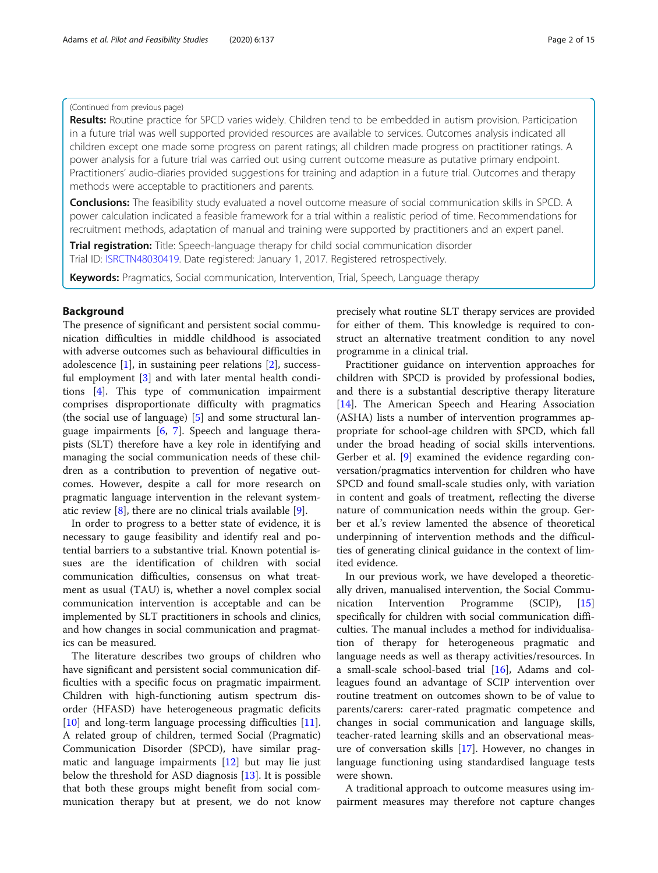#### (Continued from previous page)

Results: Routine practice for SPCD varies widely. Children tend to be embedded in autism provision. Participation in a future trial was well supported provided resources are available to services. Outcomes analysis indicated all children except one made some progress on parent ratings; all children made progress on practitioner ratings. A power analysis for a future trial was carried out using current outcome measure as putative primary endpoint. Practitioners' audio-diaries provided suggestions for training and adaption in a future trial. Outcomes and therapy methods were acceptable to practitioners and parents.

**Conclusions:** The feasibility study evaluated a novel outcome measure of social communication skills in SPCD. A power calculation indicated a feasible framework for a trial within a realistic period of time. Recommendations for recruitment methods, adaptation of manual and training were supported by practitioners and an expert panel.

**Trial registration:** Title: Speech-language therapy for child social communication disorder Trial ID: [ISRCTN48030419](http://isrctn.com/ISRCTN48030419). Date registered: January 1, 2017. Registered retrospectively.

Keywords: Pragmatics, Social communication, Intervention, Trial, Speech, Language therapy

# Background

The presence of significant and persistent social communication difficulties in middle childhood is associated with adverse outcomes such as behavioural difficulties in adolescence [[1\]](#page-13-0), in sustaining peer relations [[2](#page-13-0)], successful employment [\[3](#page-13-0)] and with later mental health conditions [\[4](#page-13-0)]. This type of communication impairment comprises disproportionate difficulty with pragmatics (the social use of language) [[5\]](#page-13-0) and some structural language impairments [[6,](#page-13-0) [7\]](#page-13-0). Speech and language therapists (SLT) therefore have a key role in identifying and managing the social communication needs of these children as a contribution to prevention of negative outcomes. However, despite a call for more research on pragmatic language intervention in the relevant systematic review  $[8]$  $[8]$ , there are no clinical trials available  $[9]$  $[9]$ .

In order to progress to a better state of evidence, it is necessary to gauge feasibility and identify real and potential barriers to a substantive trial. Known potential issues are the identification of children with social communication difficulties, consensus on what treatment as usual (TAU) is, whether a novel complex social communication intervention is acceptable and can be implemented by SLT practitioners in schools and clinics, and how changes in social communication and pragmatics can be measured.

The literature describes two groups of children who have significant and persistent social communication difficulties with a specific focus on pragmatic impairment. Children with high-functioning autism spectrum disorder (HFASD) have heterogeneous pragmatic deficits [[10\]](#page-13-0) and long-term language processing difficulties [\[11](#page-13-0)]. A related group of children, termed Social (Pragmatic) Communication Disorder (SPCD), have similar pragmatic and language impairments [[12\]](#page-13-0) but may lie just below the threshold for ASD diagnosis [\[13](#page-13-0)]. It is possible that both these groups might benefit from social communication therapy but at present, we do not know precisely what routine SLT therapy services are provided for either of them. This knowledge is required to construct an alternative treatment condition to any novel programme in a clinical trial.

Practitioner guidance on intervention approaches for children with SPCD is provided by professional bodies, and there is a substantial descriptive therapy literature [[14\]](#page-13-0). The American Speech and Hearing Association (ASHA) lists a number of intervention programmes appropriate for school-age children with SPCD, which fall under the broad heading of social skills interventions. Gerber et al. [\[9](#page-13-0)] examined the evidence regarding conversation/pragmatics intervention for children who have SPCD and found small-scale studies only, with variation in content and goals of treatment, reflecting the diverse nature of communication needs within the group. Gerber et al.'s review lamented the absence of theoretical underpinning of intervention methods and the difficulties of generating clinical guidance in the context of limited evidence.

In our previous work, we have developed a theoretically driven, manualised intervention, the Social Communication Intervention Programme (SCIP), [[15](#page-13-0)] specifically for children with social communication difficulties. The manual includes a method for individualisation of therapy for heterogeneous pragmatic and language needs as well as therapy activities/resources. In a small-scale school-based trial [[16\]](#page-13-0), Adams and colleagues found an advantage of SCIP intervention over routine treatment on outcomes shown to be of value to parents/carers: carer-rated pragmatic competence and changes in social communication and language skills, teacher-rated learning skills and an observational measure of conversation skills [[17](#page-13-0)]. However, no changes in language functioning using standardised language tests were shown.

A traditional approach to outcome measures using impairment measures may therefore not capture changes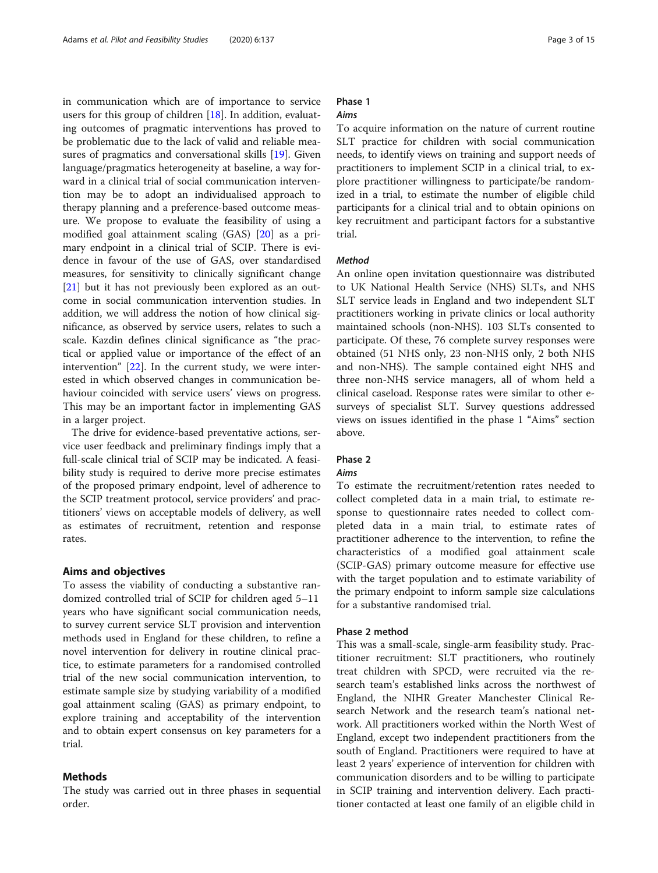in communication which are of importance to service users for this group of children  $[18]$ . In addition, evaluating outcomes of pragmatic interventions has proved to be problematic due to the lack of valid and reliable measures of pragmatics and conversational skills [[19\]](#page-13-0). Given language/pragmatics heterogeneity at baseline, a way forward in a clinical trial of social communication intervention may be to adopt an individualised approach to therapy planning and a preference-based outcome measure. We propose to evaluate the feasibility of using a modified goal attainment scaling (GAS) [\[20\]](#page-13-0) as a primary endpoint in a clinical trial of SCIP. There is evidence in favour of the use of GAS, over standardised measures, for sensitivity to clinically significant change [[21\]](#page-13-0) but it has not previously been explored as an outcome in social communication intervention studies. In addition, we will address the notion of how clinical significance, as observed by service users, relates to such a scale. Kazdin defines clinical significance as "the practical or applied value or importance of the effect of an intervention" [\[22](#page-13-0)]. In the current study, we were interested in which observed changes in communication behaviour coincided with service users' views on progress. This may be an important factor in implementing GAS in a larger project.

The drive for evidence-based preventative actions, service user feedback and preliminary findings imply that a full-scale clinical trial of SCIP may be indicated. A feasibility study is required to derive more precise estimates of the proposed primary endpoint, level of adherence to the SCIP treatment protocol, service providers' and practitioners' views on acceptable models of delivery, as well as estimates of recruitment, retention and response rates.

# Aims and objectives

To assess the viability of conducting a substantive randomized controlled trial of SCIP for children aged 5–11 years who have significant social communication needs, to survey current service SLT provision and intervention methods used in England for these children, to refine a novel intervention for delivery in routine clinical practice, to estimate parameters for a randomised controlled trial of the new social communication intervention, to estimate sample size by studying variability of a modified goal attainment scaling (GAS) as primary endpoint, to explore training and acceptability of the intervention and to obtain expert consensus on key parameters for a trial.

# Methods

The study was carried out in three phases in sequential order.

#### Phase 1 Aims

To acquire information on the nature of current routine SLT practice for children with social communication needs, to identify views on training and support needs of practitioners to implement SCIP in a clinical trial, to explore practitioner willingness to participate/be randomized in a trial, to estimate the number of eligible child participants for a clinical trial and to obtain opinions on key recruitment and participant factors for a substantive trial.

#### Method

An online open invitation questionnaire was distributed to UK National Health Service (NHS) SLTs, and NHS SLT service leads in England and two independent SLT practitioners working in private clinics or local authority maintained schools (non-NHS). 103 SLTs consented to participate. Of these, 76 complete survey responses were obtained (51 NHS only, 23 non-NHS only, 2 both NHS and non-NHS). The sample contained eight NHS and three non-NHS service managers, all of whom held a clinical caseload. Response rates were similar to other esurveys of specialist SLT. Survey questions addressed views on issues identified in the phase 1 "Aims" section above.

### Phase 2

### Aims

To estimate the recruitment/retention rates needed to collect completed data in a main trial, to estimate response to questionnaire rates needed to collect completed data in a main trial, to estimate rates of practitioner adherence to the intervention, to refine the characteristics of a modified goal attainment scale (SCIP-GAS) primary outcome measure for effective use with the target population and to estimate variability of the primary endpoint to inform sample size calculations for a substantive randomised trial.

#### Phase 2 method

This was a small-scale, single-arm feasibility study. Practitioner recruitment: SLT practitioners, who routinely treat children with SPCD, were recruited via the research team's established links across the northwest of England, the NIHR Greater Manchester Clinical Research Network and the research team's national network. All practitioners worked within the North West of England, except two independent practitioners from the south of England. Practitioners were required to have at least 2 years' experience of intervention for children with communication disorders and to be willing to participate in SCIP training and intervention delivery. Each practitioner contacted at least one family of an eligible child in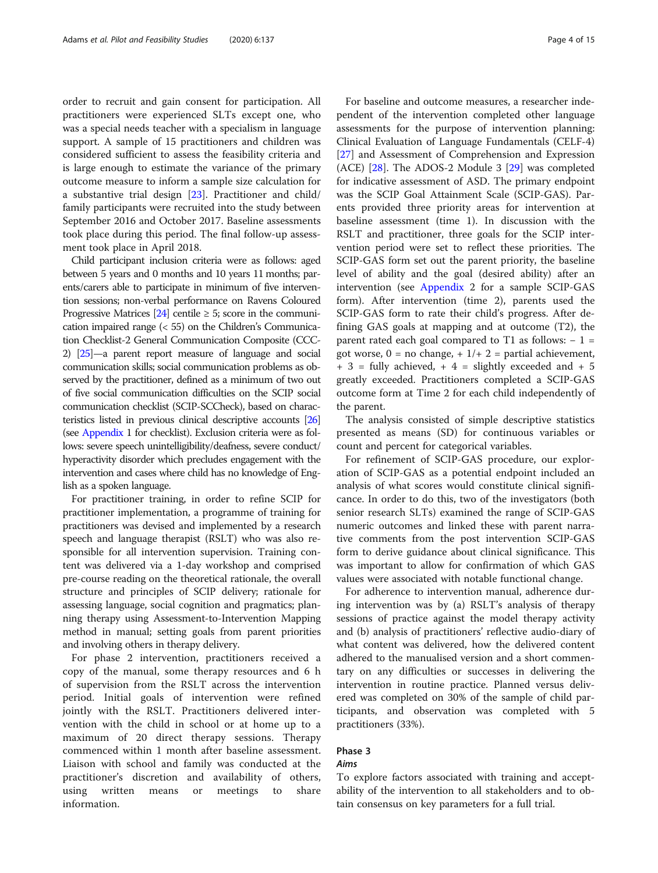order to recruit and gain consent for participation. All practitioners were experienced SLTs except one, who was a special needs teacher with a specialism in language support. A sample of 15 practitioners and children was considered sufficient to assess the feasibility criteria and is large enough to estimate the variance of the primary outcome measure to inform a sample size calculation for a substantive trial design [\[23\]](#page-14-0). Practitioner and child/ family participants were recruited into the study between September 2016 and October 2017. Baseline assessments took place during this period. The final follow-up assessment took place in April 2018.

Child participant inclusion criteria were as follows: aged between 5 years and 0 months and 10 years 11 months; parents/carers able to participate in minimum of five intervention sessions; non-verbal performance on Ravens Coloured Progressive Matrices  $[24]$  $[24]$  centile  $\geq 5$ ; score in the communication impaired range (< 55) on the Children's Communication Checklist-2 General Communication Composite (CCC-2) [\[25\]](#page-14-0)—a parent report measure of language and social communication skills; social communication problems as observed by the practitioner, defined as a minimum of two out of five social communication difficulties on the SCIP social communication checklist (SCIP-SCCheck), based on characteristics listed in previous clinical descriptive accounts [\[26](#page-14-0)] (see [Appendix](#page-12-0) 1 for checklist). Exclusion criteria were as follows: severe speech unintelligibility/deafness, severe conduct/ hyperactivity disorder which precludes engagement with the intervention and cases where child has no knowledge of English as a spoken language.

For practitioner training, in order to refine SCIP for practitioner implementation, a programme of training for practitioners was devised and implemented by a research speech and language therapist (RSLT) who was also responsible for all intervention supervision. Training content was delivered via a 1-day workshop and comprised pre-course reading on the theoretical rationale, the overall structure and principles of SCIP delivery; rationale for assessing language, social cognition and pragmatics; planning therapy using Assessment-to-Intervention Mapping method in manual; setting goals from parent priorities and involving others in therapy delivery.

For phase 2 intervention, practitioners received a copy of the manual, some therapy resources and 6 h of supervision from the RSLT across the intervention period. Initial goals of intervention were refined jointly with the RSLT. Practitioners delivered intervention with the child in school or at home up to a maximum of 20 direct therapy sessions. Therapy commenced within 1 month after baseline assessment. Liaison with school and family was conducted at the practitioner's discretion and availability of others, using written means or meetings to share information.

For baseline and outcome measures, a researcher independent of the intervention completed other language assessments for the purpose of intervention planning: Clinical Evaluation of Language Fundamentals (CELF-4) [[27\]](#page-14-0) and Assessment of Comprehension and Expression (ACE) [[28\]](#page-14-0). The ADOS-2 Module 3 [[29\]](#page-14-0) was completed for indicative assessment of ASD. The primary endpoint was the SCIP Goal Attainment Scale (SCIP-GAS). Parents provided three priority areas for intervention at baseline assessment (time 1). In discussion with the RSLT and practitioner, three goals for the SCIP intervention period were set to reflect these priorities. The SCIP-GAS form set out the parent priority, the baseline level of ability and the goal (desired ability) after an intervention (see [Appendix](#page-12-0) 2 for a sample SCIP-GAS form). After intervention (time 2), parents used the SCIP-GAS form to rate their child's progress. After defining GAS goals at mapping and at outcome (T2), the parent rated each goal compared to T1 as follows:  $-1 =$ got worse,  $0 =$  no change,  $+1/+2 =$  partial achievement,  $+ 3$  = fully achieved,  $+ 4$  = slightly exceeded and  $+ 5$ greatly exceeded. Practitioners completed a SCIP-GAS outcome form at Time 2 for each child independently of the parent.

The analysis consisted of simple descriptive statistics presented as means (SD) for continuous variables or count and percent for categorical variables.

For refinement of SCIP-GAS procedure, our exploration of SCIP-GAS as a potential endpoint included an analysis of what scores would constitute clinical significance. In order to do this, two of the investigators (both senior research SLTs) examined the range of SCIP-GAS numeric outcomes and linked these with parent narrative comments from the post intervention SCIP-GAS form to derive guidance about clinical significance. This was important to allow for confirmation of which GAS values were associated with notable functional change.

For adherence to intervention manual, adherence during intervention was by (a) RSLT's analysis of therapy sessions of practice against the model therapy activity and (b) analysis of practitioners' reflective audio-diary of what content was delivered, how the delivered content adhered to the manualised version and a short commentary on any difficulties or successes in delivering the intervention in routine practice. Planned versus delivered was completed on 30% of the sample of child participants, and observation was completed with 5 practitioners (33%).

# Phase 3

#### Aims

To explore factors associated with training and acceptability of the intervention to all stakeholders and to obtain consensus on key parameters for a full trial.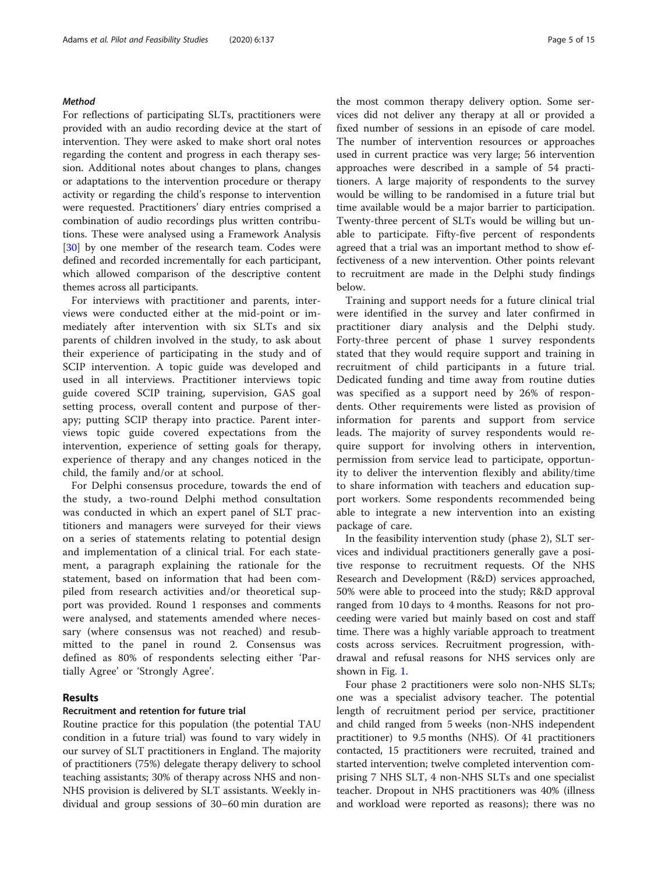#### Method

For reflections of participating SLTs, practitioners were provided with an audio recording device at the start of intervention. They were asked to make short oral notes regarding the content and progress in each therapy session. Additional notes about changes to plans, changes or adaptations to the intervention procedure or therapy activity or regarding the child's response to intervention were requested. Practitioners' diary entries comprised a combination of audio recordings plus written contributions. These were analysed using a Framework Analysis [[30\]](#page-14-0) by one member of the research team. Codes were defined and recorded incrementally for each participant, which allowed comparison of the descriptive content themes across all participants.

For interviews with practitioner and parents, interviews were conducted either at the mid-point or immediately after intervention with six SLTs and six parents of children involved in the study, to ask about their experience of participating in the study and of SCIP intervention. A topic guide was developed and used in all interviews. Practitioner interviews topic guide covered SCIP training, supervision, GAS goal setting process, overall content and purpose of therapy; putting SCIP therapy into practice. Parent interviews topic guide covered expectations from the intervention, experience of setting goals for therapy, experience of therapy and any changes noticed in the child, the family and/or at school.

For Delphi consensus procedure, towards the end of the study, a two-round Delphi method consultation was conducted in which an expert panel of SLT practitioners and managers were surveyed for their views on a series of statements relating to potential design and implementation of a clinical trial. For each statement, a paragraph explaining the rationale for the statement, based on information that had been compiled from research activities and/or theoretical support was provided. Round 1 responses and comments were analysed, and statements amended where necessary (where consensus was not reached) and resubmitted to the panel in round 2. Consensus was defined as 80% of respondents selecting either 'Partially Agree' or 'Strongly Agree'.

# Results

### Recruitment and retention for future trial

Routine practice for this population (the potential TAU condition in a future trial) was found to vary widely in our survey of SLT practitioners in England. The majority of practitioners (75%) delegate therapy delivery to school teaching assistants; 30% of therapy across NHS and non-NHS provision is delivered by SLT assistants. Weekly individual and group sessions of 30–60 min duration are the most common therapy delivery option. Some services did not deliver any therapy at all or provided a fixed number of sessions in an episode of care model. The number of intervention resources or approaches used in current practice was very large; 56 intervention approaches were described in a sample of 54 practitioners. A large majority of respondents to the survey would be willing to be randomised in a future trial but time available would be a major barrier to participation. Twenty-three percent of SLTs would be willing but unable to participate. Fifty-five percent of respondents agreed that a trial was an important method to show effectiveness of a new intervention. Other points relevant to recruitment are made in the Delphi study findings below.

Training and support needs for a future clinical trial were identified in the survey and later confirmed in practitioner diary analysis and the Delphi study. Forty-three percent of phase 1 survey respondents stated that they would require support and training in recruitment of child participants in a future trial. Dedicated funding and time away from routine duties was specified as a support need by 26% of respondents. Other requirements were listed as provision of information for parents and support from service leads. The majority of survey respondents would require support for involving others in intervention, permission from service lead to participate, opportunity to deliver the intervention flexibly and ability/time to share information with teachers and education support workers. Some respondents recommended being able to integrate a new intervention into an existing package of care.

In the feasibility intervention study (phase 2), SLT services and individual practitioners generally gave a positive response to recruitment requests. Of the NHS Research and Development (R&D) services approached, 50% were able to proceed into the study; R&D approval ranged from 10 days to 4 months. Reasons for not proceeding were varied but mainly based on cost and staff time. There was a highly variable approach to treatment costs across services. Recruitment progression, withdrawal and refusal reasons for NHS services only are shown in Fig. [1](#page-5-0).

Four phase 2 practitioners were solo non-NHS SLTs; one was a specialist advisory teacher. The potential length of recruitment period per service, practitioner and child ranged from 5 weeks (non-NHS independent practitioner) to 9.5 months (NHS). Of 41 practitioners contacted, 15 practitioners were recruited, trained and started intervention; twelve completed intervention comprising 7 NHS SLT, 4 non-NHS SLTs and one specialist teacher. Dropout in NHS practitioners was 40% (illness and workload were reported as reasons); there was no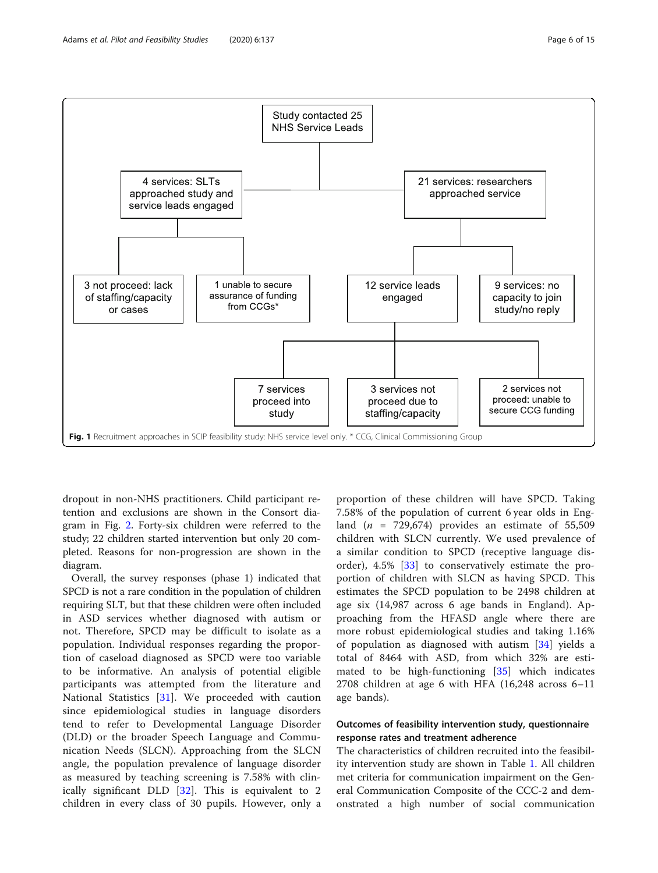<span id="page-5-0"></span>

dropout in non-NHS practitioners. Child participant retention and exclusions are shown in the Consort diagram in Fig. [2.](#page-6-0) Forty-six children were referred to the study; 22 children started intervention but only 20 completed. Reasons for non-progression are shown in the diagram.

Overall, the survey responses (phase 1) indicated that SPCD is not a rare condition in the population of children requiring SLT, but that these children were often included in ASD services whether diagnosed with autism or not. Therefore, SPCD may be difficult to isolate as a population. Individual responses regarding the proportion of caseload diagnosed as SPCD were too variable to be informative. An analysis of potential eligible participants was attempted from the literature and National Statistics [[31\]](#page-14-0). We proceeded with caution since epidemiological studies in language disorders tend to refer to Developmental Language Disorder (DLD) or the broader Speech Language and Communication Needs (SLCN). Approaching from the SLCN angle, the population prevalence of language disorder as measured by teaching screening is 7.58% with clinically significant DLD [[32\]](#page-14-0). This is equivalent to 2 children in every class of 30 pupils. However, only a

proportion of these children will have SPCD. Taking 7.58% of the population of current 6 year olds in England  $(n = 729,674)$  provides an estimate of 55,509 children with SLCN currently. We used prevalence of a similar condition to SPCD (receptive language disorder), 4.5% [[33\]](#page-14-0) to conservatively estimate the proportion of children with SLCN as having SPCD. This estimates the SPCD population to be 2498 children at age six (14,987 across 6 age bands in England). Approaching from the HFASD angle where there are more robust epidemiological studies and taking 1.16% of population as diagnosed with autism [\[34](#page-14-0)] yields a total of 8464 with ASD, from which 32% are estimated to be high-functioning [[35\]](#page-14-0) which indicates 2708 children at age 6 with HFA (16,248 across 6–11 age bands).

# Outcomes of feasibility intervention study, questionnaire response rates and treatment adherence

The characteristics of children recruited into the feasibility intervention study are shown in Table [1](#page-7-0). All children met criteria for communication impairment on the General Communication Composite of the CCC-2 and demonstrated a high number of social communication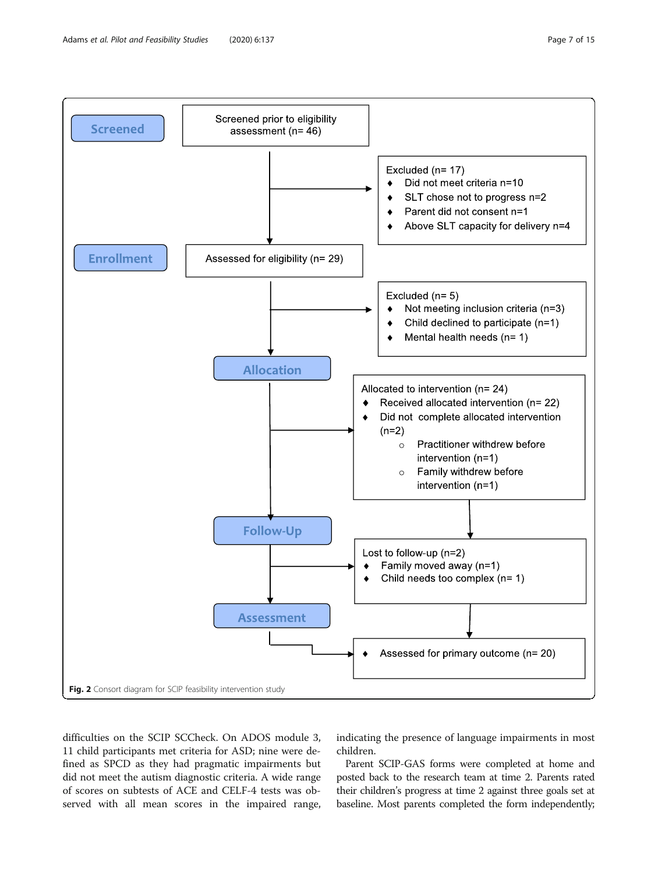<span id="page-6-0"></span>

difficulties on the SCIP SCCheck. On ADOS module 3, 11 child participants met criteria for ASD; nine were defined as SPCD as they had pragmatic impairments but did not meet the autism diagnostic criteria. A wide range of scores on subtests of ACE and CELF-4 tests was observed with all mean scores in the impaired range,

indicating the presence of language impairments in most children.

Parent SCIP-GAS forms were completed at home and posted back to the research team at time 2. Parents rated their children's progress at time 2 against three goals set at baseline. Most parents completed the form independently;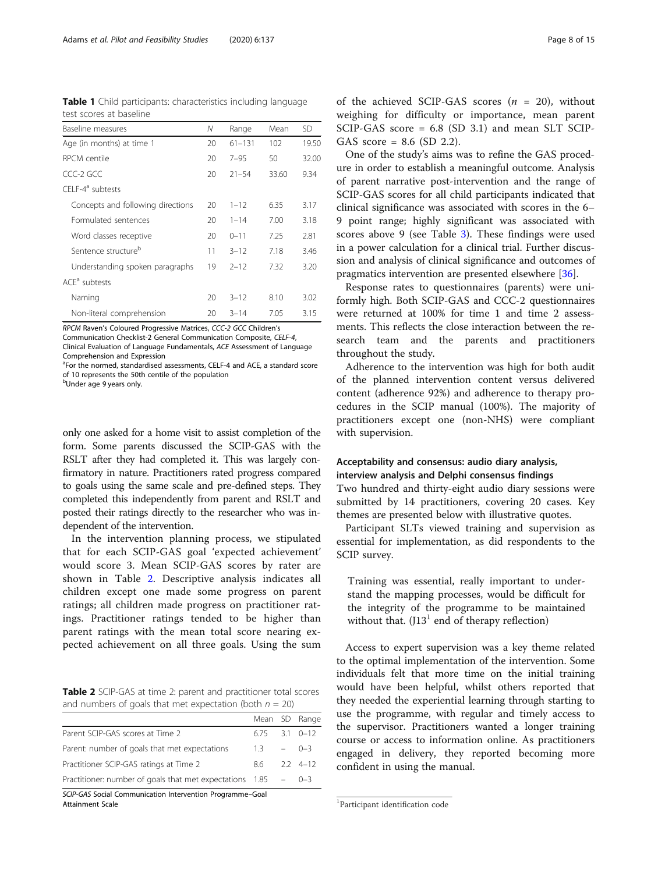<span id="page-7-0"></span>

| <b>Table 1</b> Child participants: characteristics including language |  |  |
|-----------------------------------------------------------------------|--|--|
| test scores at baseline                                               |  |  |

| Baseline measures                 | Ν  | Range      | Mean  | SD    |
|-----------------------------------|----|------------|-------|-------|
| Age (in months) at time 1         | 20 | $61 - 131$ | 102   | 19.50 |
| RPCM centile                      | 20 | $7 - 95$   | 50    | 32.00 |
| CCC-2 GCC                         | 20 | $21 - 54$  | 33.60 | 9.34  |
| $CFI F-4^a$ subtests              |    |            |       |       |
| Concepts and following directions | 20 | $1 - 12$   | 6.35  | 3.17  |
| Formulated sentences              | 20 | $1 - 14$   | 7.00  | 3.18  |
| Word classes receptive            | 20 | $0 - 11$   | 7.25  | 2.81  |
| Sentence structure <sup>b</sup>   | 11 | $3 - 12$   | 7.18  | 3.46  |
| Understanding spoken paragraphs   | 19 | $2 - 12$   | 7.32  | 3.20  |
| ACF <sup>a</sup> subtests         |    |            |       |       |
| Naming                            | 20 | $3 - 12$   | 8.10  | 3.02  |
| Non-literal comprehension         | 20 | $3 - 14$   | 7.05  | 3.15  |

RPCM Raven's Coloured Progressive Matrices, CCC-2 GCC Children's

Communication Checklist-2 General Communication Composite, CELF-4,

Clinical Evaluation of Language Fundamentals, ACE Assessment of Language Comprehension and Expression

<sup>a</sup>For the normed, standardised assessments, CELF-4 and ACE, a standard score of 10 represents the 50th centile of the population

<sup>b</sup>Under age 9 years only.

only one asked for a home visit to assist completion of the form. Some parents discussed the SCIP-GAS with the RSLT after they had completed it. This was largely confirmatory in nature. Practitioners rated progress compared to goals using the same scale and pre-defined steps. They completed this independently from parent and RSLT and posted their ratings directly to the researcher who was independent of the intervention.

In the intervention planning process, we stipulated that for each SCIP-GAS goal 'expected achievement' would score 3. Mean SCIP-GAS scores by rater are shown in Table 2. Descriptive analysis indicates all children except one made some progress on parent ratings; all children made progress on practitioner ratings. Practitioner ratings tended to be higher than parent ratings with the mean total score nearing expected achievement on all three goals. Using the sum

Table 2 SCIP-GAS at time 2: parent and practitioner total scores and numbers of goals that met expectation (both  $n = 20$ )

|                                                                  |                     |  | Mean SD Range    |  |
|------------------------------------------------------------------|---------------------|--|------------------|--|
| Parent SCIP-GAS scores at Time 2                                 | $6.75$ $3.1$ $0-12$ |  |                  |  |
| Parent: number of goals that met expectations                    | $1.3 -$             |  | $- 0-3$          |  |
| Practitioner SCIP-GAS ratings at Time 2                          | 86.                 |  | $2.2 \quad 4-12$ |  |
| Practitioner: number of goals that met expectations $1.85 = 0-3$ |                     |  |                  |  |
| SCIP-GAS Social Communication Intervention Programme-Goal        |                     |  |                  |  |

Attainment Scale <sup>1</sup>

of the achieved SCIP-GAS scores ( $n = 20$ ), without weighing for difficulty or importance, mean parent SCIP-GAS score = 6.8 (SD 3.1) and mean SLT SCIP-GAS score = 8.6 (SD 2.2).

One of the study's aims was to refine the GAS procedure in order to establish a meaningful outcome. Analysis of parent narrative post-intervention and the range of SCIP-GAS scores for all child participants indicated that clinical significance was associated with scores in the 6– 9 point range; highly significant was associated with scores above 9 (see Table [3](#page-8-0)). These findings were used in a power calculation for a clinical trial. Further discussion and analysis of clinical significance and outcomes of pragmatics intervention are presented elsewhere [[36\]](#page-14-0).

Response rates to questionnaires (parents) were uniformly high. Both SCIP-GAS and CCC-2 questionnaires were returned at 100% for time 1 and time 2 assessments. This reflects the close interaction between the research team and the parents and practitioners throughout the study.

Adherence to the intervention was high for both audit of the planned intervention content versus delivered content (adherence 92%) and adherence to therapy procedures in the SCIP manual (100%). The majority of practitioners except one (non-NHS) were compliant with supervision.

# Acceptability and consensus: audio diary analysis, interview analysis and Delphi consensus findings

Two hundred and thirty-eight audio diary sessions were submitted by 14 practitioners, covering 20 cases. Key themes are presented below with illustrative quotes.

Participant SLTs viewed training and supervision as essential for implementation, as did respondents to the SCIP survey.

Training was essential, really important to understand the mapping processes, would be difficult for the integrity of the programme to be maintained without that.  $(J13<sup>1</sup>$  end of therapy reflection)

Access to expert supervision was a key theme related to the optimal implementation of the intervention. Some individuals felt that more time on the initial training would have been helpful, whilst others reported that they needed the experiential learning through starting to use the programme, with regular and timely access to the supervisor. Practitioners wanted a longer training course or access to information online. As practitioners engaged in delivery, they reported becoming more confident in using the manual.

Participant identification code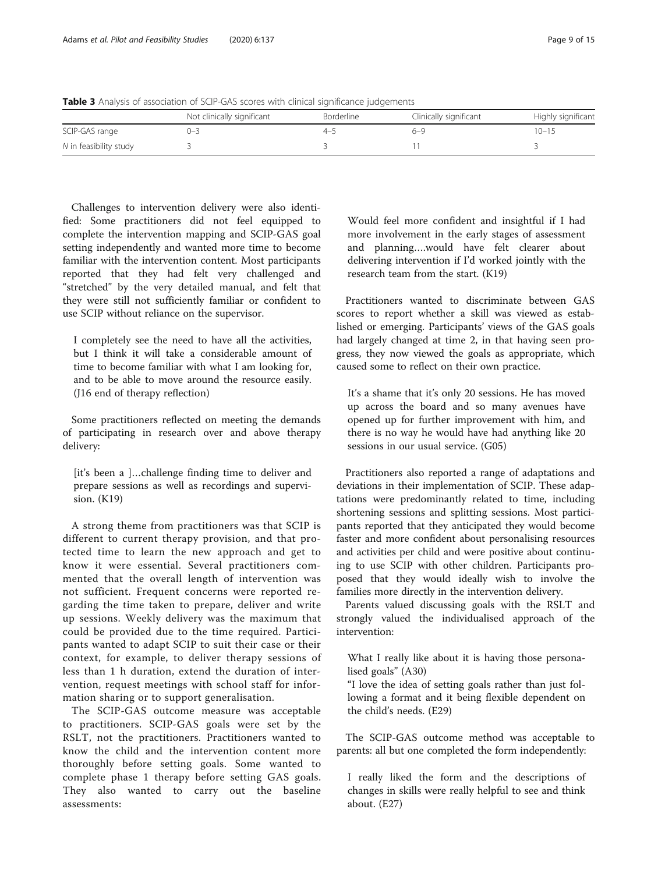|                        | Not clinically significant | <b>Borderline</b> | Clinically significant | Highly significant |
|------------------------|----------------------------|-------------------|------------------------|--------------------|
| SCIP-GAS range         | 0–3                        | $4-4$             | 6-9                    | $10 - 15$          |
| N in feasibility study |                            |                   |                        |                    |

<span id="page-8-0"></span>Table 3 Analysis of association of SCIP-GAS scores with clinical significance judgements

Challenges to intervention delivery were also identified: Some practitioners did not feel equipped to complete the intervention mapping and SCIP-GAS goal setting independently and wanted more time to become familiar with the intervention content. Most participants reported that they had felt very challenged and "stretched" by the very detailed manual, and felt that they were still not sufficiently familiar or confident to use SCIP without reliance on the supervisor.

I completely see the need to have all the activities, but I think it will take a considerable amount of time to become familiar with what I am looking for, and to be able to move around the resource easily. (J16 end of therapy reflection)

Some practitioners reflected on meeting the demands of participating in research over and above therapy delivery:

[it's been a ]...challenge finding time to deliver and prepare sessions as well as recordings and supervision. (K19)

A strong theme from practitioners was that SCIP is different to current therapy provision, and that protected time to learn the new approach and get to know it were essential. Several practitioners commented that the overall length of intervention was not sufficient. Frequent concerns were reported regarding the time taken to prepare, deliver and write up sessions. Weekly delivery was the maximum that could be provided due to the time required. Participants wanted to adapt SCIP to suit their case or their context, for example, to deliver therapy sessions of less than 1 h duration, extend the duration of intervention, request meetings with school staff for information sharing or to support generalisation.

The SCIP-GAS outcome measure was acceptable to practitioners. SCIP-GAS goals were set by the RSLT, not the practitioners. Practitioners wanted to know the child and the intervention content more thoroughly before setting goals. Some wanted to complete phase 1 therapy before setting GAS goals. They also wanted to carry out the baseline assessments:

Would feel more confident and insightful if I had more involvement in the early stages of assessment and planning….would have felt clearer about delivering intervention if I'd worked jointly with the research team from the start. (K19)

Practitioners wanted to discriminate between GAS scores to report whether a skill was viewed as established or emerging. Participants' views of the GAS goals had largely changed at time 2, in that having seen progress, they now viewed the goals as appropriate, which caused some to reflect on their own practice.

It's a shame that it's only 20 sessions. He has moved up across the board and so many avenues have opened up for further improvement with him, and there is no way he would have had anything like 20 sessions in our usual service. (G05)

Practitioners also reported a range of adaptations and deviations in their implementation of SCIP. These adaptations were predominantly related to time, including shortening sessions and splitting sessions. Most participants reported that they anticipated they would become faster and more confident about personalising resources and activities per child and were positive about continuing to use SCIP with other children. Participants proposed that they would ideally wish to involve the families more directly in the intervention delivery.

Parents valued discussing goals with the RSLT and strongly valued the individualised approach of the intervention:

What I really like about it is having those personalised goals" (A30)

"I love the idea of setting goals rather than just following a format and it being flexible dependent on the child's needs. (E29)

The SCIP-GAS outcome method was acceptable to parents: all but one completed the form independently:

I really liked the form and the descriptions of changes in skills were really helpful to see and think about. (E27)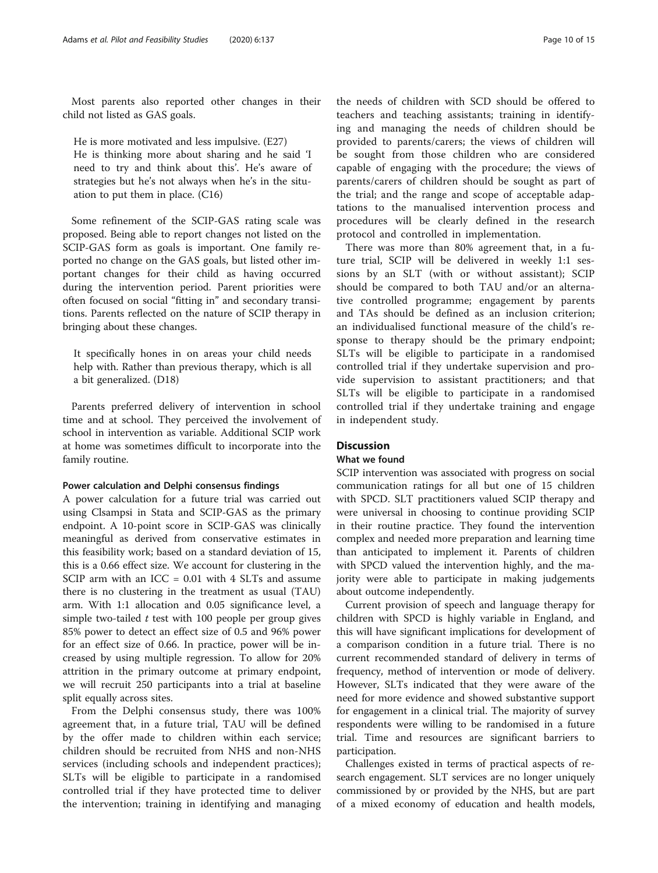Most parents also reported other changes in their child not listed as GAS goals.

He is more motivated and less impulsive. (E27) He is thinking more about sharing and he said 'I need to try and think about this'. He's aware of strategies but he's not always when he's in the situation to put them in place. (C16)

Some refinement of the SCIP-GAS rating scale was proposed. Being able to report changes not listed on the SCIP-GAS form as goals is important. One family reported no change on the GAS goals, but listed other important changes for their child as having occurred during the intervention period. Parent priorities were often focused on social "fitting in" and secondary transitions. Parents reflected on the nature of SCIP therapy in bringing about these changes.

It specifically hones in on areas your child needs help with. Rather than previous therapy, which is all a bit generalized. (D18)

Parents preferred delivery of intervention in school time and at school. They perceived the involvement of school in intervention as variable. Additional SCIP work at home was sometimes difficult to incorporate into the family routine.

#### Power calculation and Delphi consensus findings

A power calculation for a future trial was carried out using Clsampsi in Stata and SCIP-GAS as the primary endpoint. A 10-point score in SCIP-GAS was clinically meaningful as derived from conservative estimates in this feasibility work; based on a standard deviation of 15, this is a 0.66 effect size. We account for clustering in the SCIP arm with an  $ICC = 0.01$  with 4 SLTs and assume there is no clustering in the treatment as usual (TAU) arm. With 1:1 allocation and 0.05 significance level, a simple two-tailed  $t$  test with 100 people per group gives 85% power to detect an effect size of 0.5 and 96% power for an effect size of 0.66. In practice, power will be increased by using multiple regression. To allow for 20% attrition in the primary outcome at primary endpoint, we will recruit 250 participants into a trial at baseline split equally across sites.

From the Delphi consensus study, there was 100% agreement that, in a future trial, TAU will be defined by the offer made to children within each service; children should be recruited from NHS and non-NHS services (including schools and independent practices); SLTs will be eligible to participate in a randomised controlled trial if they have protected time to deliver the intervention; training in identifying and managing

the needs of children with SCD should be offered to teachers and teaching assistants; training in identifying and managing the needs of children should be provided to parents/carers; the views of children will be sought from those children who are considered capable of engaging with the procedure; the views of parents/carers of children should be sought as part of the trial; and the range and scope of acceptable adaptations to the manualised intervention process and procedures will be clearly defined in the research protocol and controlled in implementation.

There was more than 80% agreement that, in a future trial, SCIP will be delivered in weekly 1:1 sessions by an SLT (with or without assistant); SCIP should be compared to both TAU and/or an alternative controlled programme; engagement by parents and TAs should be defined as an inclusion criterion; an individualised functional measure of the child's response to therapy should be the primary endpoint; SLTs will be eligible to participate in a randomised controlled trial if they undertake supervision and provide supervision to assistant practitioners; and that SLTs will be eligible to participate in a randomised controlled trial if they undertake training and engage in independent study.

#### **Discussion**

#### What we found

SCIP intervention was associated with progress on social communication ratings for all but one of 15 children with SPCD. SLT practitioners valued SCIP therapy and were universal in choosing to continue providing SCIP in their routine practice. They found the intervention complex and needed more preparation and learning time than anticipated to implement it. Parents of children with SPCD valued the intervention highly, and the majority were able to participate in making judgements about outcome independently.

Current provision of speech and language therapy for children with SPCD is highly variable in England, and this will have significant implications for development of a comparison condition in a future trial. There is no current recommended standard of delivery in terms of frequency, method of intervention or mode of delivery. However, SLTs indicated that they were aware of the need for more evidence and showed substantive support for engagement in a clinical trial. The majority of survey respondents were willing to be randomised in a future trial. Time and resources are significant barriers to participation.

Challenges existed in terms of practical aspects of research engagement. SLT services are no longer uniquely commissioned by or provided by the NHS, but are part of a mixed economy of education and health models,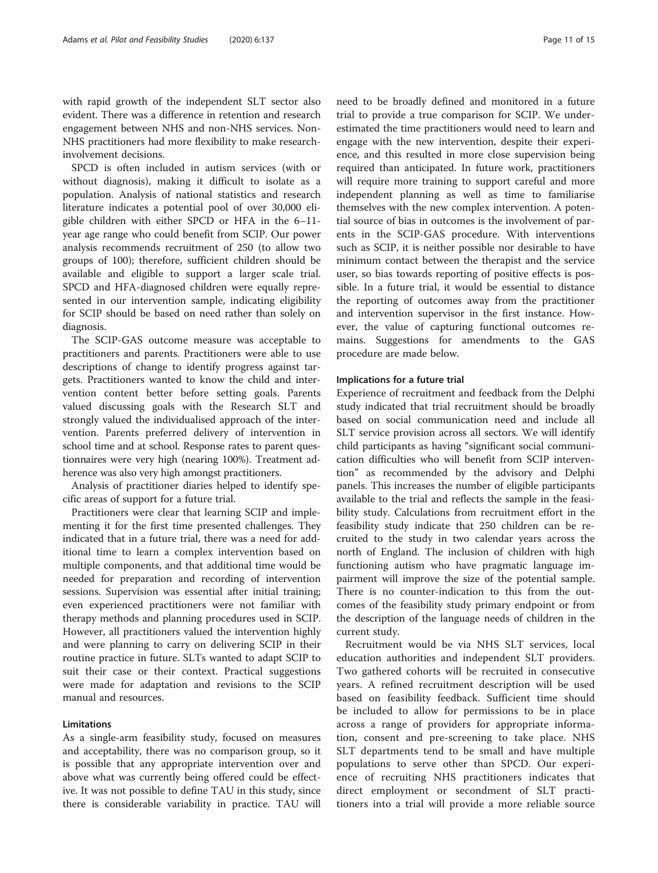with rapid growth of the independent SLT sector also evident. There was a difference in retention and research engagement between NHS and non-NHS services. Non-NHS practitioners had more flexibility to make researchinvolvement decisions.

SPCD is often included in autism services (with or without diagnosis), making it difficult to isolate as a population. Analysis of national statistics and research literature indicates a potential pool of over 30,000 eligible children with either SPCD or HFA in the 6–11 year age range who could benefit from SCIP. Our power analysis recommends recruitment of 250 (to allow two groups of 100); therefore, sufficient children should be available and eligible to support a larger scale trial. SPCD and HFA-diagnosed children were equally represented in our intervention sample, indicating eligibility for SCIP should be based on need rather than solely on diagnosis.

The SCIP-GAS outcome measure was acceptable to practitioners and parents. Practitioners were able to use descriptions of change to identify progress against targets. Practitioners wanted to know the child and intervention content better before setting goals. Parents valued discussing goals with the Research SLT and strongly valued the individualised approach of the intervention. Parents preferred delivery of intervention in school time and at school. Response rates to parent questionnaires were very high (nearing 100%). Treatment adherence was also very high amongst practitioners.

Analysis of practitioner diaries helped to identify specific areas of support for a future trial.

Practitioners were clear that learning SCIP and implementing it for the first time presented challenges. They indicated that in a future trial, there was a need for additional time to learn a complex intervention based on multiple components, and that additional time would be needed for preparation and recording of intervention sessions. Supervision was essential after initial training; even experienced practitioners were not familiar with therapy methods and planning procedures used in SCIP. However, all practitioners valued the intervention highly and were planning to carry on delivering SCIP in their routine practice in future. SLTs wanted to adapt SCIP to suit their case or their context. Practical suggestions were made for adaptation and revisions to the SCIP manual and resources.

#### Limitations

As a single-arm feasibility study, focused on measures and acceptability, there was no comparison group, so it is possible that any appropriate intervention over and above what was currently being offered could be effective. It was not possible to define TAU in this study, since there is considerable variability in practice. TAU will need to be broadly defined and monitored in a future trial to provide a true comparison for SCIP. We underestimated the time practitioners would need to learn and engage with the new intervention, despite their experience, and this resulted in more close supervision being required than anticipated. In future work, practitioners will require more training to support careful and more independent planning as well as time to familiarise themselves with the new complex intervention. A potential source of bias in outcomes is the involvement of parents in the SCIP-GAS procedure. With interventions such as SCIP, it is neither possible nor desirable to have minimum contact between the therapist and the service user, so bias towards reporting of positive effects is possible. In a future trial, it would be essential to distance the reporting of outcomes away from the practitioner and intervention supervisor in the first instance. However, the value of capturing functional outcomes remains. Suggestions for amendments to the GAS procedure are made below.

#### Implications for a future trial

Experience of recruitment and feedback from the Delphi study indicated that trial recruitment should be broadly based on social communication need and include all SLT service provision across all sectors. We will identify child participants as having "significant social communication difficulties who will benefit from SCIP intervention" as recommended by the advisory and Delphi panels. This increases the number of eligible participants available to the trial and reflects the sample in the feasibility study. Calculations from recruitment effort in the feasibility study indicate that 250 children can be recruited to the study in two calendar years across the north of England. The inclusion of children with high functioning autism who have pragmatic language impairment will improve the size of the potential sample. There is no counter-indication to this from the outcomes of the feasibility study primary endpoint or from the description of the language needs of children in the current study.

Recruitment would be via NHS SLT services, local education authorities and independent SLT providers. Two gathered cohorts will be recruited in consecutive years. A refined recruitment description will be used based on feasibility feedback. Sufficient time should be included to allow for permissions to be in place across a range of providers for appropriate information, consent and pre-screening to take place. NHS SLT departments tend to be small and have multiple populations to serve other than SPCD. Our experience of recruiting NHS practitioners indicates that direct employment or secondment of SLT practitioners into a trial will provide a more reliable source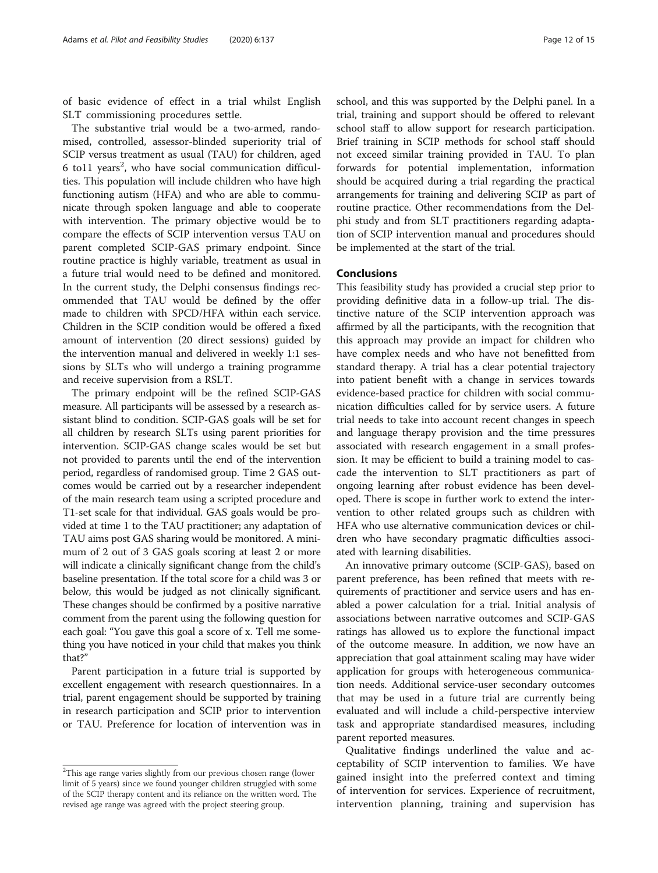of basic evidence of effect in a trial whilst English SLT commissioning procedures settle.

The substantive trial would be a two-armed, randomised, controlled, assessor-blinded superiority trial of SCIP versus treatment as usual (TAU) for children, aged  $6$  to $11$  years<sup>2</sup>, who have social communication difficulties. This population will include children who have high functioning autism (HFA) and who are able to communicate through spoken language and able to cooperate with intervention. The primary objective would be to compare the effects of SCIP intervention versus TAU on parent completed SCIP-GAS primary endpoint. Since routine practice is highly variable, treatment as usual in a future trial would need to be defined and monitored. In the current study, the Delphi consensus findings recommended that TAU would be defined by the offer made to children with SPCD/HFA within each service. Children in the SCIP condition would be offered a fixed amount of intervention (20 direct sessions) guided by the intervention manual and delivered in weekly 1:1 sessions by SLTs who will undergo a training programme and receive supervision from a RSLT.

The primary endpoint will be the refined SCIP-GAS measure. All participants will be assessed by a research assistant blind to condition. SCIP-GAS goals will be set for all children by research SLTs using parent priorities for intervention. SCIP-GAS change scales would be set but not provided to parents until the end of the intervention period, regardless of randomised group. Time 2 GAS outcomes would be carried out by a researcher independent of the main research team using a scripted procedure and T1-set scale for that individual. GAS goals would be provided at time 1 to the TAU practitioner; any adaptation of TAU aims post GAS sharing would be monitored. A minimum of 2 out of 3 GAS goals scoring at least 2 or more will indicate a clinically significant change from the child's baseline presentation. If the total score for a child was 3 or below, this would be judged as not clinically significant. These changes should be confirmed by a positive narrative comment from the parent using the following question for each goal: "You gave this goal a score of x. Tell me something you have noticed in your child that makes you think that?"

Parent participation in a future trial is supported by excellent engagement with research questionnaires. In a trial, parent engagement should be supported by training in research participation and SCIP prior to intervention or TAU. Preference for location of intervention was in

school, and this was supported by the Delphi panel. In a trial, training and support should be offered to relevant school staff to allow support for research participation. Brief training in SCIP methods for school staff should not exceed similar training provided in TAU. To plan forwards for potential implementation, information should be acquired during a trial regarding the practical arrangements for training and delivering SCIP as part of routine practice. Other recommendations from the Delphi study and from SLT practitioners regarding adaptation of SCIP intervention manual and procedures should be implemented at the start of the trial.

#### Conclusions

This feasibility study has provided a crucial step prior to providing definitive data in a follow-up trial. The distinctive nature of the SCIP intervention approach was affirmed by all the participants, with the recognition that this approach may provide an impact for children who have complex needs and who have not benefitted from standard therapy. A trial has a clear potential trajectory into patient benefit with a change in services towards evidence-based practice for children with social communication difficulties called for by service users. A future trial needs to take into account recent changes in speech and language therapy provision and the time pressures associated with research engagement in a small profession. It may be efficient to build a training model to cascade the intervention to SLT practitioners as part of ongoing learning after robust evidence has been developed. There is scope in further work to extend the intervention to other related groups such as children with HFA who use alternative communication devices or children who have secondary pragmatic difficulties associated with learning disabilities.

An innovative primary outcome (SCIP-GAS), based on parent preference, has been refined that meets with requirements of practitioner and service users and has enabled a power calculation for a trial. Initial analysis of associations between narrative outcomes and SCIP-GAS ratings has allowed us to explore the functional impact of the outcome measure. In addition, we now have an appreciation that goal attainment scaling may have wider application for groups with heterogeneous communication needs. Additional service-user secondary outcomes that may be used in a future trial are currently being evaluated and will include a child-perspective interview task and appropriate standardised measures, including parent reported measures.

Qualitative findings underlined the value and acceptability of SCIP intervention to families. We have gained insight into the preferred context and timing of intervention for services. Experience of recruitment, intervention planning, training and supervision has

<sup>&</sup>lt;sup>2</sup>This age range varies slightly from our previous chosen range (lower limit of 5 years) since we found younger children struggled with some of the SCIP therapy content and its reliance on the written word. The revised age range was agreed with the project steering group.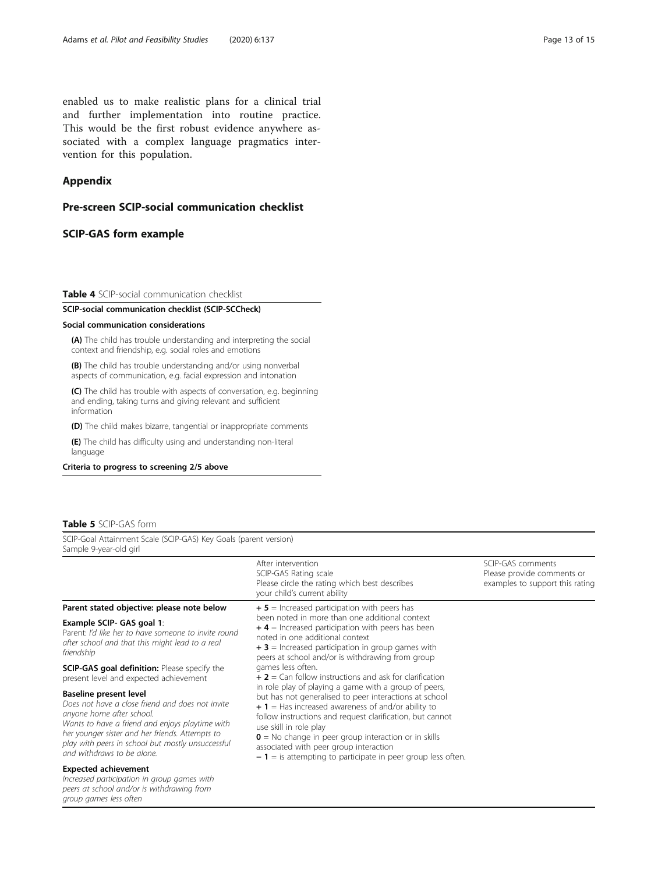<span id="page-12-0"></span>enabled us to make realistic plans for a clinical trial and further implementation into routine practice. This would be the first robust evidence anywhere associated with a complex language pragmatics intervention for this population.

# Appendix

# Pre-screen SCIP-social communication checklist

# SCIP-GAS form example

#### Table 4 SCIP-social communication checklist

#### SCIP-social communication checklist (SCIP-SCCheck)

#### Social communication considerations

(A) The child has trouble understanding and interpreting the social context and friendship, e.g. social roles and emotions

(B) The child has trouble understanding and/or using nonverbal aspects of communication, e.g. facial expression and intonation

(C) The child has trouble with aspects of conversation, e.g. beginning and ending, taking turns and giving relevant and sufficient information

(D) The child makes bizarre, tangential or inappropriate comments

(E) The child has difficulty using and understanding non-literal language

Criteria to progress to screening 2/5 above

#### Table 5 SCIP-GAS form

group games less often

SCIP-Goal Attainment Scale (SCIP-GAS) Key Goals (parent version) Sample 9-year-old girl

|                                                                                                                                                                                                                                                                                                         | After intervention<br>SCIP-GAS Rating scale<br>Please circle the rating which best describes<br>your child's current ability                                                                                                                                                                                                                                                                                                                 | SCIP-GAS comments<br>Please provide comments or<br>examples to support this rating |
|---------------------------------------------------------------------------------------------------------------------------------------------------------------------------------------------------------------------------------------------------------------------------------------------------------|----------------------------------------------------------------------------------------------------------------------------------------------------------------------------------------------------------------------------------------------------------------------------------------------------------------------------------------------------------------------------------------------------------------------------------------------|------------------------------------------------------------------------------------|
| Parent stated objective: please note below                                                                                                                                                                                                                                                              | $+ 5$ = Increased participation with peers has                                                                                                                                                                                                                                                                                                                                                                                               |                                                                                    |
| <b>Example SCIP- GAS goal 1:</b><br>Parent: I'd like her to have someone to invite round<br>after school and that this might lead to a real<br>friendship                                                                                                                                               | been noted in more than one additional context<br>$+ 4$ = Increased participation with peers has been<br>noted in one additional context<br>$+$ 3 = Increased participation in group games with<br>peers at school and/or is withdrawing from group                                                                                                                                                                                          |                                                                                    |
| <b>SCIP-GAS goal definition:</b> Please specify the<br>present level and expected achievement                                                                                                                                                                                                           | games less often.<br>$+ 2 =$ Can follow instructions and ask for clarification                                                                                                                                                                                                                                                                                                                                                               |                                                                                    |
| <b>Baseline present level</b><br>Does not have a close friend and does not invite<br>anyone home after school.<br>Wants to have a friend and enjoys playtime with<br>her younger sister and her friends. Attempts to<br>play with peers in school but mostly unsuccessful<br>and withdraws to be alone. | in role play of playing a game with a group of peers,<br>but has not generalised to peer interactions at school<br>$+ 1$ = Has increased awareness of and/or ability to<br>follow instructions and request clarification, but cannot<br>use skill in role play<br>$\mathbf{0}$ = No change in peer group interaction or in skills<br>associated with peer group interaction<br>$-1$ = is attempting to participate in peer group less often. |                                                                                    |
| <b>Expected achievement</b><br>Increased participation in group games with<br>peers at school and/or is withdrawing from                                                                                                                                                                                |                                                                                                                                                                                                                                                                                                                                                                                                                                              |                                                                                    |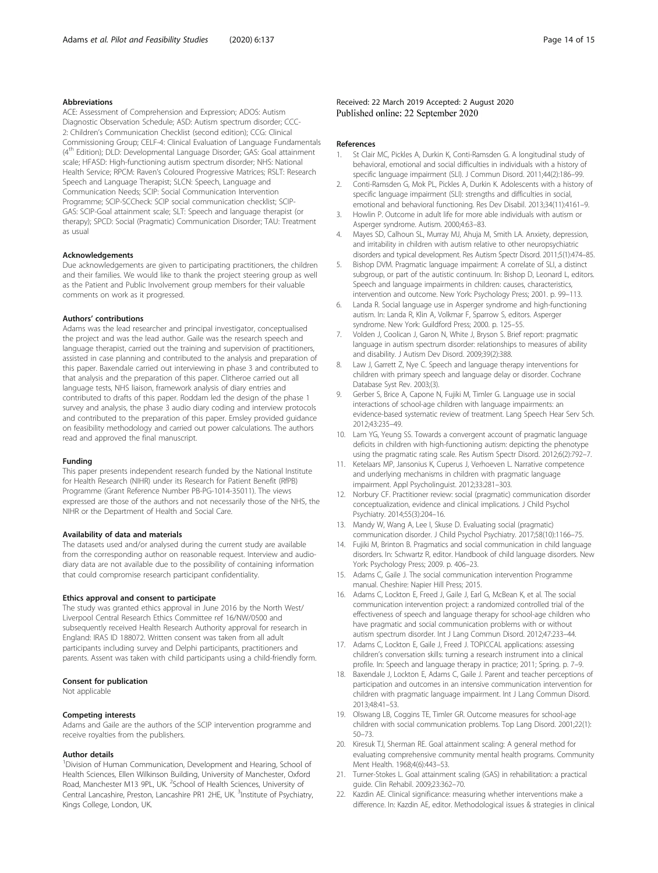#### <span id="page-13-0"></span>Abbreviations

ACE: Assessment of Comprehension and Expression; ADOS: Autism Diagnostic Observation Schedule; ASD: Autism spectrum disorder; CCC-2: Children's Communication Checklist (second edition); CCG: Clinical Commissioning Group; CELF-4: Clinical Evaluation of Language Fundamentals (4th Edition); DLD: Developmental Language Disorder; GAS: Goal attainment scale; HFASD: High-functioning autism spectrum disorder; NHS: National Health Service; RPCM: Raven's Coloured Progressive Matrices; RSLT: Research Speech and Language Therapist; SLCN: Speech, Language and Communication Needs; SCIP: Social Communication Intervention Programme; SCIP-SCCheck: SCIP social communication checklist; SCIP-GAS: SCIP-Goal attainment scale; SLT: Speech and language therapist (or therapy); SPCD: Social (Pragmatic) Communication Disorder; TAU: Treatment as usual

#### Acknowledgements

Due acknowledgements are given to participating practitioners, the children and their families. We would like to thank the project steering group as well as the Patient and Public Involvement group members for their valuable comments on work as it progressed.

#### Authors' contributions

Adams was the lead researcher and principal investigator, conceptualised the project and was the lead author. Gaile was the research speech and language therapist, carried out the training and supervision of practitioners, assisted in case planning and contributed to the analysis and preparation of this paper. Baxendale carried out interviewing in phase 3 and contributed to that analysis and the preparation of this paper. Clitheroe carried out all language tests, NHS liaison, framework analysis of diary entries and contributed to drafts of this paper. Roddam led the design of the phase 1 survey and analysis, the phase 3 audio diary coding and interview protocols and contributed to the preparation of this paper. Emsley provided guidance on feasibility methodology and carried out power calculations. The authors read and approved the final manuscript.

#### Funding

This paper presents independent research funded by the National Institute for Health Research (NIHR) under its Research for Patient Benefit (RfPB) Programme (Grant Reference Number PB-PG-1014-35011). The views expressed are those of the authors and not necessarily those of the NHS, the NIHR or the Department of Health and Social Care.

#### Availability of data and materials

The datasets used and/or analysed during the current study are available from the corresponding author on reasonable request. Interview and audiodiary data are not available due to the possibility of containing information that could compromise research participant confidentiality.

#### Ethics approval and consent to participate

The study was granted ethics approval in June 2016 by the North West/ Liverpool Central Research Ethics Committee ref 16/NW/0500 and subsequently received Health Research Authority approval for research in England: IRAS ID 188072. Written consent was taken from all adult participants including survey and Delphi participants, practitioners and parents. Assent was taken with child participants using a child-friendly form.

#### Consent for publication

Not applicable

#### Competing interests

Adams and Gaile are the authors of the SCIP intervention programme and receive royalties from the publishers.

#### Author details

<sup>1</sup> Division of Human Communication, Development and Hearing, School of Health Sciences, Ellen Wilkinson Building, University of Manchester, Oxford Road, Manchester M13 9PL, UK. <sup>2</sup>School of Health Sciences, University of Central Lancashire, Preston, Lancashire PR1 2HE, UK. <sup>3</sup>Institute of Psychiatry, Kings College, London, UK.

#### Received: 22 March 2019 Accepted: 2 August 2020 Published online: 22 September 2020

#### References

- 1. St Clair MC, Pickles A, Durkin K, Conti-Ramsden G. A longitudinal study of behavioral, emotional and social difficulties in individuals with a history of specific language impairment (SLI). J Commun Disord. 2011;44(2):186–99.
- 2. Conti-Ramsden G, Mok PL, Pickles A, Durkin K. Adolescents with a history of specific language impairment (SLI): strengths and difficulties in social, emotional and behavioral functioning. Res Dev Disabil. 2013;34(11):4161–9.
- 3. Howlin P. Outcome in adult life for more able individuals with autism or Asperger syndrome. Autism. 2000;4:63–83.
- 4. Mayes SD, Calhoun SL, Murray MJ, Ahuja M, Smith LA. Anxiety, depression, and irritability in children with autism relative to other neuropsychiatric disorders and typical development. Res Autism Spectr Disord. 2011;5(1):474–85.
- Bishop DVM. Pragmatic language impairment: A correlate of SLI, a distinct subgroup, or part of the autistic continuum. In: Bishop D, Leonard L, editors. Speech and language impairments in children: causes, characteristics, intervention and outcome. New York: Psychology Press; 2001. p. 99–113.
- 6. Landa R. Social language use in Asperger syndrome and high-functioning autism. In: Landa R, Klin A, Volkmar F, Sparrow S, editors. Asperger syndrome. New York: Guildford Press; 2000. p. 125–55.
- 7. Volden J, Coolican J, Garon N, White J, Bryson S. Brief report: pragmatic language in autism spectrum disorder: relationships to measures of ability and disability. J Autism Dev Disord. 2009;39(2):388.
- 8. Law J, Garrett Z, Nye C. Speech and language therapy interventions for children with primary speech and language delay or disorder. Cochrane Database Syst Rev. 2003;(3).
- 9. Gerber S, Brice A, Capone N, Fujiki M, Timler G. Language use in social interactions of school-age children with language impairments: an evidence-based systematic review of treatment. Lang Speech Hear Serv Sch. 2012;43:235–49.
- 10. Lam YG, Yeung SS. Towards a convergent account of pragmatic language deficits in children with high-functioning autism: depicting the phenotype using the pragmatic rating scale. Res Autism Spectr Disord. 2012;6(2):792–7.
- 11. Ketelaars MP, Jansonius K, Cuperus J, Verhoeven L. Narrative competence and underlying mechanisms in children with pragmatic language impairment. Appl Psycholinguist. 2012;33:281–303.
- 12. Norbury CF. Practitioner review: social (pragmatic) communication disorder conceptualization, evidence and clinical implications. J Child Psychol Psychiatry. 2014;55(3):204–16.
- 13. Mandy W, Wang A, Lee I, Skuse D. Evaluating social (pragmatic) communication disorder. J Child Psychol Psychiatry. 2017;58(10):1166–75.
- 14. Fujiki M, Brinton B. Pragmatics and social communication in child language disorders. In: Schwartz R, editor. Handbook of child language disorders. New York: Psychology Press; 2009. p. 406–23.
- 15. Adams C, Gaile J. The social communication intervention Programme manual. Cheshire: Napier Hill Press; 2015.
- 16. Adams C, Lockton E, Freed J, Gaile J, Earl G, McBean K, et al. The social communication intervention project: a randomized controlled trial of the effectiveness of speech and language therapy for school-age children who have pragmatic and social communication problems with or without autism spectrum disorder. Int J Lang Commun Disord. 2012;47:233–44.
- 17. Adams C, Lockton E, Gaile J, Freed J. TOPICCAL applications: assessing children's conversation skills: turning a research instrument into a clinical profile. In: Speech and language therapy in practice; 2011; Spring. p. 7–9.
- 18. Baxendale J, Lockton E, Adams C, Gaile J. Parent and teacher perceptions of participation and outcomes in an intensive communication intervention for children with pragmatic language impairment. Int J Lang Commun Disord. 2013;48:41–53.
- 19. Olswang LB, Coggins TE, Timler GR. Outcome measures for school-age children with social communication problems. Top Lang Disord. 2001;22(1): 50–73.
- 20. Kiresuk TJ, Sherman RE. Goal attainment scaling: A general method for evaluating comprehensive community mental health programs. Community Ment Health. 1968;4(6):443–53.
- 21. Turner-Stokes L. Goal attainment scaling (GAS) in rehabilitation: a practical guide. Clin Rehabil. 2009;23:362–70.
- 22. Kazdin AE. Clinical significance: measuring whether interventions make a difference. In: Kazdin AE, editor. Methodological issues & strategies in clinical